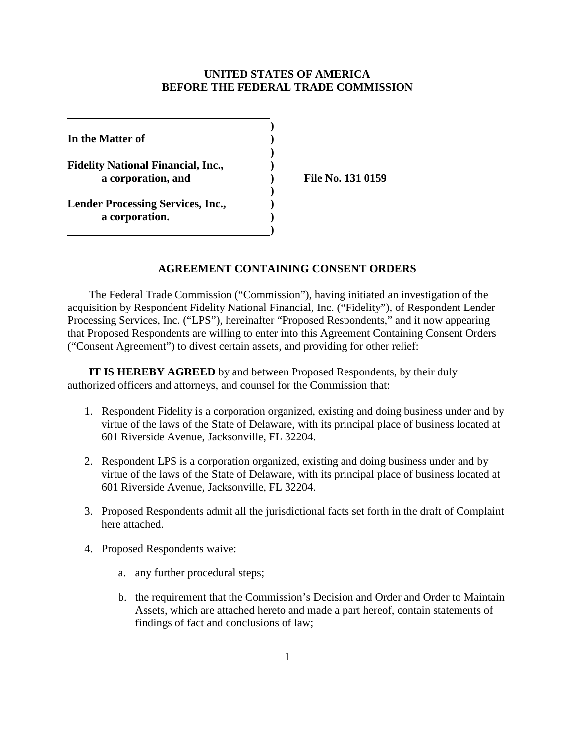#### **UNITED STATES OF AMERICA BEFORE THE FEDERAL TRADE COMMISSION**

**) In the Matter of ) ) Fidelity National Financial, Inc., ) a corporation, and ) File No. 131 0159 ) Lender Processing Services, Inc., ) a corporation. ) )**

#### **AGREEMENT CONTAINING CONSENT ORDERS**

The Federal Trade Commission ("Commission"), having initiated an investigation of the acquisition by Respondent Fidelity National Financial, Inc. ("Fidelity"), of Respondent Lender Processing Services, Inc. ("LPS"), hereinafter "Proposed Respondents," and it now appearing that Proposed Respondents are willing to enter into this Agreement Containing Consent Orders ("Consent Agreement") to divest certain assets, and providing for other relief:

**IT IS HEREBY AGREED** by and between Proposed Respondents, by their duly authorized officers and attorneys, and counsel for the Commission that:

- 1. Respondent Fidelity is a corporation organized, existing and doing business under and by virtue of the laws of the State of Delaware, with its principal place of business located at 601 Riverside Avenue, Jacksonville, FL 32204.
- 2. Respondent LPS is a corporation organized, existing and doing business under and by virtue of the laws of the State of Delaware, with its principal place of business located at 601 Riverside Avenue, Jacksonville, FL 32204.
- 3. Proposed Respondents admit all the jurisdictional facts set forth in the draft of Complaint here attached.
- 4. Proposed Respondents waive:
	- a. any further procedural steps;
	- b. the requirement that the Commission's Decision and Order and Order to Maintain Assets, which are attached hereto and made a part hereof, contain statements of findings of fact and conclusions of law;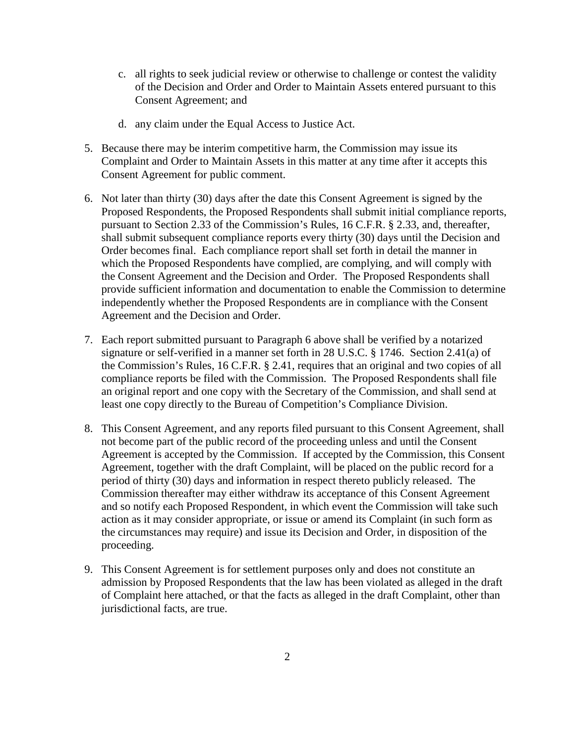- c. all rights to seek judicial review or otherwise to challenge or contest the validity of the Decision and Order and Order to Maintain Assets entered pursuant to this Consent Agreement; and
- d. any claim under the Equal Access to Justice Act.
- 5. Because there may be interim competitive harm, the Commission may issue its Complaint and Order to Maintain Assets in this matter at any time after it accepts this Consent Agreement for public comment.
- 6. Not later than thirty (30) days after the date this Consent Agreement is signed by the Proposed Respondents, the Proposed Respondents shall submit initial compliance reports, pursuant to Section 2.33 of the Commission's Rules, 16 C.F.R. § 2.33, and, thereafter, shall submit subsequent compliance reports every thirty (30) days until the Decision and Order becomes final. Each compliance report shall set forth in detail the manner in which the Proposed Respondents have complied, are complying, and will comply with the Consent Agreement and the Decision and Order. The Proposed Respondents shall provide sufficient information and documentation to enable the Commission to determine independently whether the Proposed Respondents are in compliance with the Consent Agreement and the Decision and Order.
- 7. Each report submitted pursuant to Paragraph 6 above shall be verified by a notarized signature or self-verified in a manner set forth in 28 U.S.C. § 1746. Section 2.41(a) of the Commission's Rules, 16 C.F.R. § 2.41, requires that an original and two copies of all compliance reports be filed with the Commission. The Proposed Respondents shall file an original report and one copy with the Secretary of the Commission, and shall send at least one copy directly to the Bureau of Competition's Compliance Division.
- 8. This Consent Agreement, and any reports filed pursuant to this Consent Agreement, shall not become part of the public record of the proceeding unless and until the Consent Agreement is accepted by the Commission. If accepted by the Commission, this Consent Agreement, together with the draft Complaint, will be placed on the public record for a period of thirty (30) days and information in respect thereto publicly released. The Commission thereafter may either withdraw its acceptance of this Consent Agreement and so notify each Proposed Respondent, in which event the Commission will take such action as it may consider appropriate, or issue or amend its Complaint (in such form as the circumstances may require) and issue its Decision and Order, in disposition of the proceeding.
- 9. This Consent Agreement is for settlement purposes only and does not constitute an admission by Proposed Respondents that the law has been violated as alleged in the draft of Complaint here attached, or that the facts as alleged in the draft Complaint, other than jurisdictional facts, are true.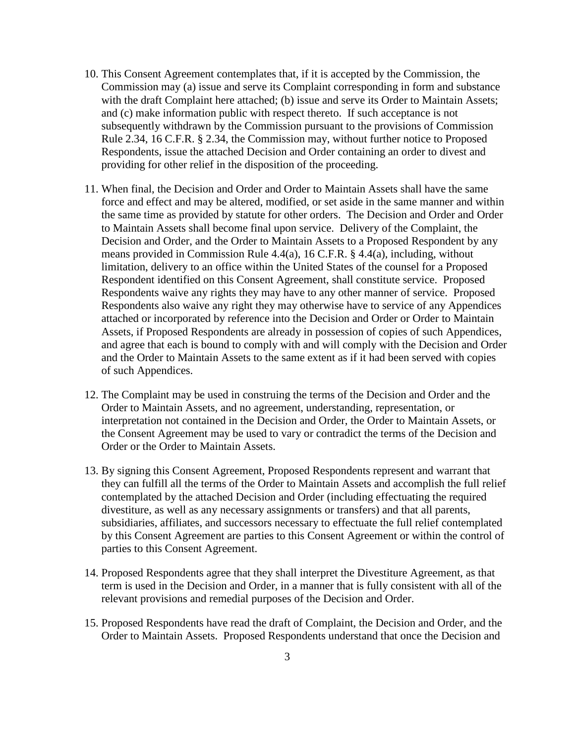- 10. This Consent Agreement contemplates that, if it is accepted by the Commission, the Commission may (a) issue and serve its Complaint corresponding in form and substance with the draft Complaint here attached; (b) issue and serve its Order to Maintain Assets; and (c) make information public with respect thereto. If such acceptance is not subsequently withdrawn by the Commission pursuant to the provisions of Commission Rule 2.34, 16 C.F.R. § 2.34, the Commission may, without further notice to Proposed Respondents, issue the attached Decision and Order containing an order to divest and providing for other relief in the disposition of the proceeding.
- 11. When final, the Decision and Order and Order to Maintain Assets shall have the same force and effect and may be altered, modified, or set aside in the same manner and within the same time as provided by statute for other orders. The Decision and Order and Order to Maintain Assets shall become final upon service. Delivery of the Complaint, the Decision and Order, and the Order to Maintain Assets to a Proposed Respondent by any means provided in Commission Rule 4.4(a), 16 C.F.R. § 4.4(a), including, without limitation, delivery to an office within the United States of the counsel for a Proposed Respondent identified on this Consent Agreement, shall constitute service. Proposed Respondents waive any rights they may have to any other manner of service. Proposed Respondents also waive any right they may otherwise have to service of any Appendices attached or incorporated by reference into the Decision and Order or Order to Maintain Assets, if Proposed Respondents are already in possession of copies of such Appendices, and agree that each is bound to comply with and will comply with the Decision and Order and the Order to Maintain Assets to the same extent as if it had been served with copies of such Appendices.
- 12. The Complaint may be used in construing the terms of the Decision and Order and the Order to Maintain Assets, and no agreement, understanding, representation, or interpretation not contained in the Decision and Order, the Order to Maintain Assets, or the Consent Agreement may be used to vary or contradict the terms of the Decision and Order or the Order to Maintain Assets.
- 13. By signing this Consent Agreement, Proposed Respondents represent and warrant that they can fulfill all the terms of the Order to Maintain Assets and accomplish the full relief contemplated by the attached Decision and Order (including effectuating the required divestiture, as well as any necessary assignments or transfers) and that all parents, subsidiaries, affiliates, and successors necessary to effectuate the full relief contemplated by this Consent Agreement are parties to this Consent Agreement or within the control of parties to this Consent Agreement.
- 14. Proposed Respondents agree that they shall interpret the Divestiture Agreement, as that term is used in the Decision and Order, in a manner that is fully consistent with all of the relevant provisions and remedial purposes of the Decision and Order.
- 15. Proposed Respondents have read the draft of Complaint, the Decision and Order, and the Order to Maintain Assets. Proposed Respondents understand that once the Decision and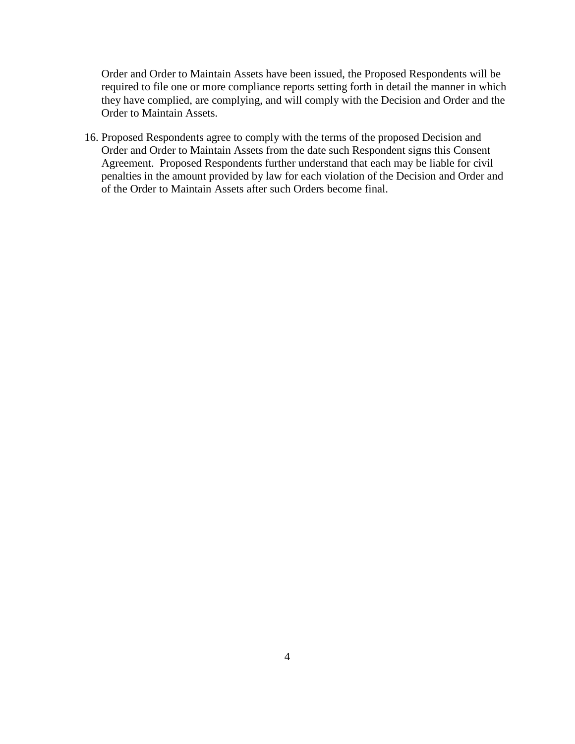Order and Order to Maintain Assets have been issued, the Proposed Respondents will be required to file one or more compliance reports setting forth in detail the manner in which they have complied, are complying, and will comply with the Decision and Order and the Order to Maintain Assets.

16. Proposed Respondents agree to comply with the terms of the proposed Decision and Order and Order to Maintain Assets from the date such Respondent signs this Consent Agreement. Proposed Respondents further understand that each may be liable for civil penalties in the amount provided by law for each violation of the Decision and Order and of the Order to Maintain Assets after such Orders become final.